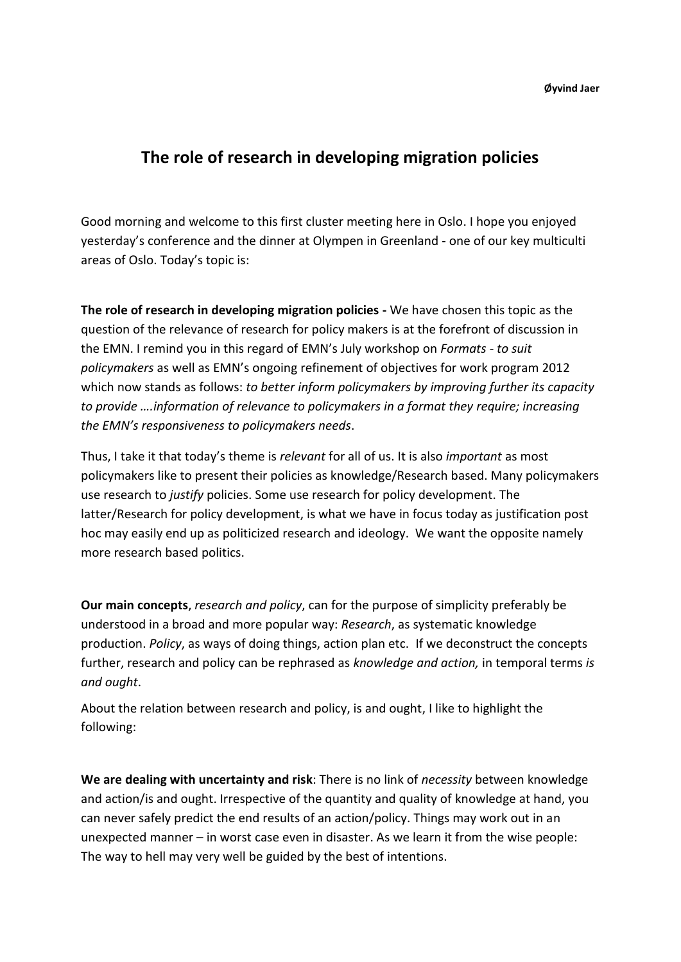**Øyvind Jaer**

## **The role of research in developing migration policies**

Good morning and welcome to this first cluster meeting here in Oslo. I hope you enjoyed yesterday's conference and the dinner at Olympen in Greenland - one of our key multiculti areas of Oslo. Today's topic is:

**The role of research in developing migration policies -** We have chosen this topic as the question of the relevance of research for policy makers is at the forefront of discussion in the EMN. I remind you in this regard of EMN's July workshop on *Formats - to suit policymakers* as well as EMN's ongoing refinement of objectives for work program 2012 which now stands as follows: *to better inform policymakers by improving further its capacity to provide ….information of relevance to policymakers in a format they require; increasing the EMN's responsiveness to policymakers needs*.

Thus, I take it that today's theme is *relevant* for all of us. It is also *important* as most policymakers like to present their policies as knowledge/Research based. Many policymakers use research to *justify* policies. Some use research for policy development. The latter/Research for policy development, is what we have in focus today as justification post hoc may easily end up as politicized research and ideology. We want the opposite namely more research based politics.

**Our main concepts**, *research and policy*, can for the purpose of simplicity preferably be understood in a broad and more popular way: *Research*, as systematic knowledge production. *Policy*, as ways of doing things, action plan etc. If we deconstruct the concepts further, research and policy can be rephrased as *knowledge and action,* in temporal terms *is and ought*.

About the relation between research and policy, is and ought, I like to highlight the following:

**We are dealing with uncertainty and risk**: There is no link of *necessity* between knowledge and action/is and ought. Irrespective of the quantity and quality of knowledge at hand, you can never safely predict the end results of an action/policy. Things may work out in an unexpected manner – in worst case even in disaster. As we learn it from the wise people: The way to hell may very well be guided by the best of intentions.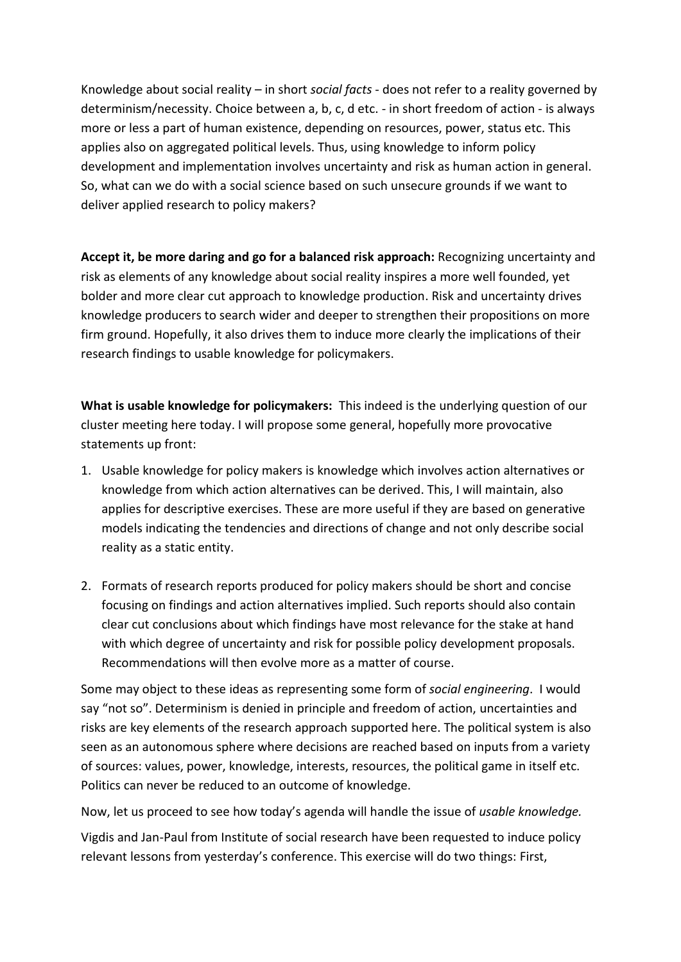Knowledge about social reality – in short *social facts* - does not refer to a reality governed by determinism/necessity. Choice between a, b, c, d etc. - in short freedom of action - is always more or less a part of human existence, depending on resources, power, status etc. This applies also on aggregated political levels. Thus, using knowledge to inform policy development and implementation involves uncertainty and risk as human action in general. So, what can we do with a social science based on such unsecure grounds if we want to deliver applied research to policy makers?

**Accept it, be more daring and go for a balanced risk approach:** Recognizing uncertainty and risk as elements of any knowledge about social reality inspires a more well founded, yet bolder and more clear cut approach to knowledge production. Risk and uncertainty drives knowledge producers to search wider and deeper to strengthen their propositions on more firm ground. Hopefully, it also drives them to induce more clearly the implications of their research findings to usable knowledge for policymakers.

**What is usable knowledge for policymakers:** This indeed is the underlying question of our cluster meeting here today. I will propose some general, hopefully more provocative statements up front:

- 1. Usable knowledge for policy makers is knowledge which involves action alternatives or knowledge from which action alternatives can be derived. This, I will maintain, also applies for descriptive exercises. These are more useful if they are based on generative models indicating the tendencies and directions of change and not only describe social reality as a static entity.
- 2. Formats of research reports produced for policy makers should be short and concise focusing on findings and action alternatives implied. Such reports should also contain clear cut conclusions about which findings have most relevance for the stake at hand with which degree of uncertainty and risk for possible policy development proposals. Recommendations will then evolve more as a matter of course.

Some may object to these ideas as representing some form of *social engineering*. I would say "not so". Determinism is denied in principle and freedom of action, uncertainties and risks are key elements of the research approach supported here. The political system is also seen as an autonomous sphere where decisions are reached based on inputs from a variety of sources: values, power, knowledge, interests, resources, the political game in itself etc. Politics can never be reduced to an outcome of knowledge.

Now, let us proceed to see how today's agenda will handle the issue of *usable knowledge.*

Vigdis and Jan-Paul from Institute of social research have been requested to induce policy relevant lessons from yesterday's conference. This exercise will do two things: First,